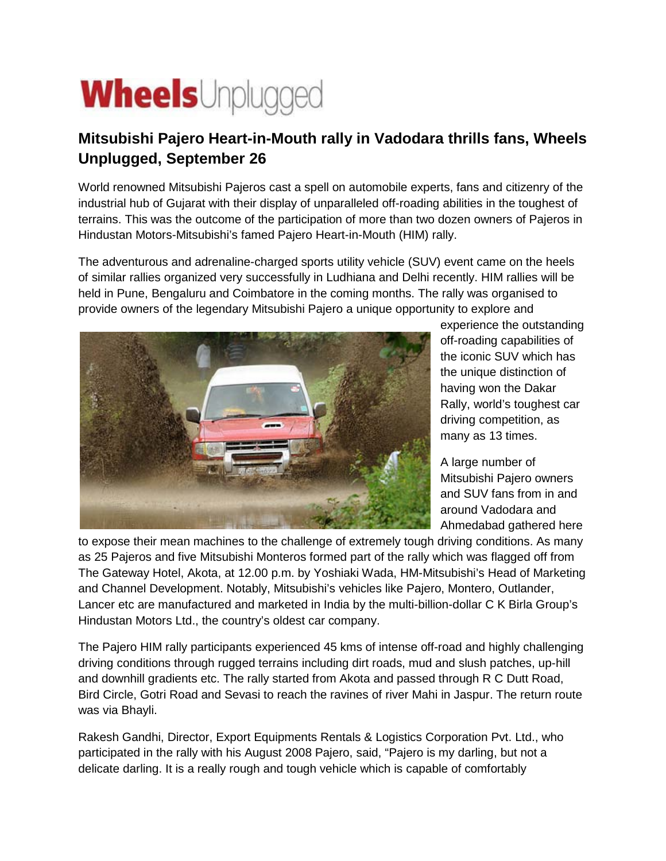## **Wheels**Unplugged

## **Mitsubishi Pajero Heart-in-Mouth rally in Vadodara thrills fans, Wheels Unplugged, September 26**

World renowned Mitsubishi Pajeros cast a spell on automobile experts, fans and citizenry of the industrial hub of Gujarat with their display of unparalleled off-roading abilities in the toughest of terrains. This was the outcome of the participation of more than two dozen owners of Pajeros in Hindustan Motors-Mitsubishi's famed Pajero Heart-in-Mouth (HIM) rally.

The adventurous and adrenaline-charged sports utility vehicle (SUV) event came on the heels of similar rallies organized very successfully in Ludhiana and Delhi recently. HIM rallies will be held in Pune, Bengaluru and Coimbatore in the coming months. The rally was organised to provide owners of the legendary Mitsubishi Pajero a unique opportunity to explore and



experience the outstanding off-roading capabilities of the iconic SUV which has the unique distinction of having won the Dakar Rally, world's toughest car driving competition, as many as 13 times.

A large number of Mitsubishi Pajero owners and SUV fans from in and around Vadodara and Ahmedabad gathered here

to expose their mean machines to the challenge of extremely tough driving conditions. As many as 25 Pajeros and five Mitsubishi Monteros formed part of the rally which was flagged off from The Gateway Hotel, Akota, at 12.00 p.m. by Yoshiaki Wada, HM-Mitsubishi's Head of Marketing and Channel Development. Notably, Mitsubishi's vehicles like Pajero, Montero, Outlander, Lancer etc are manufactured and marketed in India by the multi-billion-dollar C K Birla Group's Hindustan Motors Ltd., the country's oldest car company.

The Pajero HIM rally participants experienced 45 kms of intense off-road and highly challenging driving conditions through rugged terrains including dirt roads, mud and slush patches, up-hill and downhill gradients etc. The rally started from Akota and passed through R C Dutt Road, Bird Circle, Gotri Road and Sevasi to reach the ravines of river Mahi in Jaspur. The return route was via Bhayli.

Rakesh Gandhi, Director, Export Equipments Rentals & Logistics Corporation Pvt. Ltd., who participated in the rally with his August 2008 Pajero, said, "Pajero is my darling, but not a delicate darling. It is a really rough and tough vehicle which is capable of comfortably